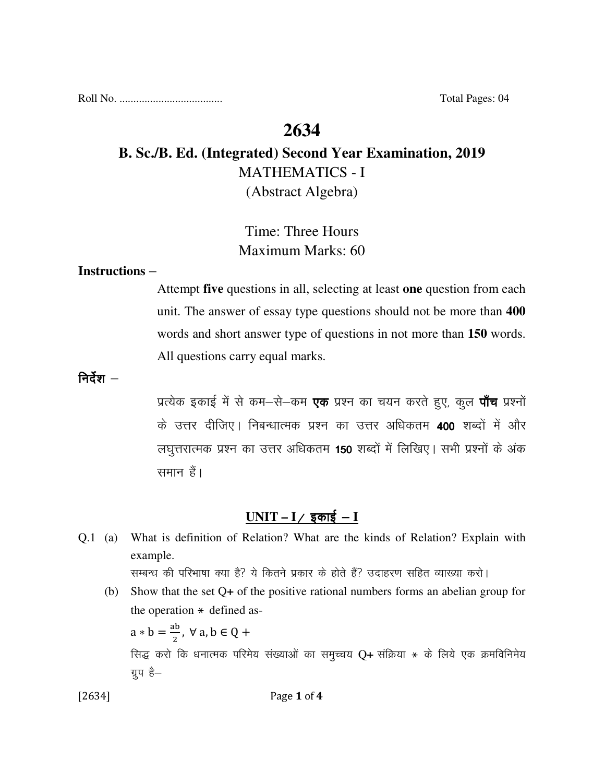Roll No. ..................................... Total Pages: 04

## **2634**

# **B. Sc./B. Ed. (Integrated) Second Year Examination, 2019**  MATHEMATICS - I (Abstract Algebra)

## Time: Three Hours Maximum Marks: 60

### **Instructions** –

Attempt **five** questions in all, selecting at least **one** question from each unit. The answer of essay type questions should not be more than **400** words and short answer type of questions in not more than **150** words. All questions carry equal marks.

निर्देश $-$ 

प्रत्येक इकाई में से कम-से-कम **एक** प्रश्न का चयन करते हुए, कुल **पाँच** प्रश्नों के उत्तर दीजिए। निबन्धात्मक प्रश्न का उत्तर अधिकतम 400 शब्दों में और लघुत्तरात्मक प्रश्न का उत्तर अधिकतम 150 शब्दों में लिखिए। सभी प्रश्नों के अंक समान हैं।

### $UNIT - I /$  इकाई - **I**

| Q.1 | (a) | What is definition of Relation? What are the kinds of Relation? Explain with         |
|-----|-----|--------------------------------------------------------------------------------------|
|     |     | example.                                                                             |
|     |     | सम्बन्ध की परिभाषा क्या है? ये कितने प्रकार के होते हैं? उदाहरण सहित व्याख्या करो।   |
|     | (b) | Show that the set $Q+$ of the positive rational numbers forms an abelian group for   |
|     |     | the operation $*$ defined as-                                                        |
|     |     | $a * b = \frac{ab}{2}$ , $\forall a, b \in Q +$                                      |
|     |     | सिद्ध करो कि धनात्मक परिमेय संख्याओं का समुच्चय Q+ संक्रिया * के लिये एक क्रमविनिमेय |
|     |     | ग्रुप है–                                                                            |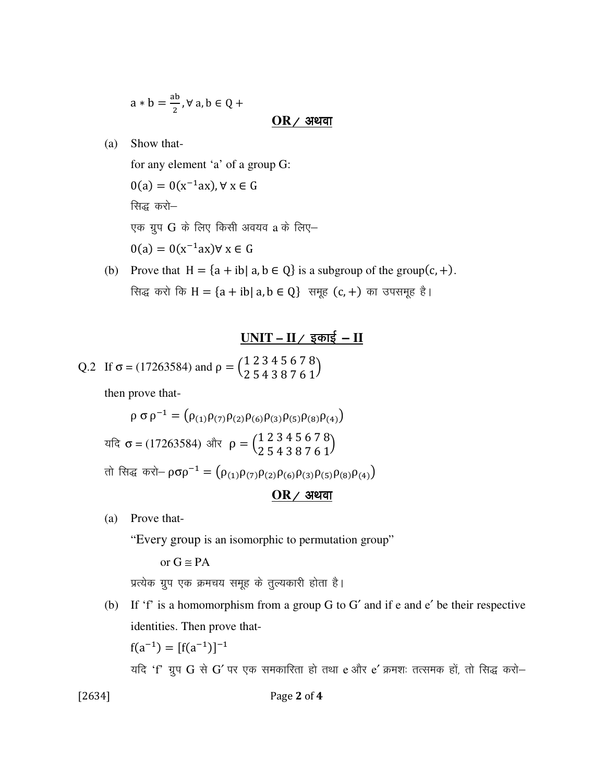$$
a * b = \frac{ab}{2}, \forall a, b \in Q +
$$

 $OR$  / अथवा

(a) Show that-

 for any element 'a' of a group G:  $0(a) = 0(x^{-1}ax)$ ,  $\forall x \in G$ सिद्ध करो-एक ग्रुप  $G$  के लिए किसी अवयव  $a$  के लिए–  $0(a) = 0(x^{-1}ax)$ ∀ x ∈ G

> (b) Prove that  $H = \{a + ib | a, b \in Q\}$  is a subgroup of the group(c, +). सिद्ध करो कि  $H = {a + ib | a, b \in Q}$  समूह  $(c, +)$  का उपसमूह है।

### <u>UNIT – II / इकाई – II</u>

Q.2 If 
$$
\sigma = (17263584)
$$
 and  $\rho = \begin{pmatrix} 1 & 2 & 3 & 4 & 5 & 6 & 7 & 8 \\ 2 & 5 & 4 & 3 & 8 & 7 & 6 & 1 \end{pmatrix}$ 

then prove that-

 $\rho \sigma \rho^{-1} = (\rho_{(1)} \rho_{(7)} \rho_{(2)} \rho_{(6)} \rho_{(3)} \rho_{(5)} \rho_{(8)} \rho_{(4)})$ ਧदि  $\sigma$  = (17263584) और  $\rho = \begin{pmatrix} 1 & 2 & 3 & 4 & 5 & 6 & 7 & 8 \ 2 & 5 & 4 & 3 & 8 & 7 & 6 & 1 \end{pmatrix}$ तो सिद्ध करो—  $\rho\sigma\rho^{-1}=\left(\rho_{(1)}\rho_{(7)}\rho_{(2)}\rho_{(6)}\rho_{(3)}\rho_{(5)}\rho_{(8)}\rho_{(4)}\right)$ 

### $OR$ / अथवा

(a) Prove that-

"Every group is an isomorphic to permutation group"

or  $G \cong PA$ 

प्रत्येक ग्रुप एक क्रमचय समूह के तुल्यकारी होता है।

(b) If 'f' is a homomorphism from a group G to G′ and if e and e′ be their respective identities. Then prove that-

 $f(a^{-1}) = [f(a^{-1})]^{-1}$ 

यदि 'f' ग्रुप  $G$  से  $G'$  पर एक समकारिता हो तथा e और e' क्रमशः तत्समक हों, तो सिद्ध करो-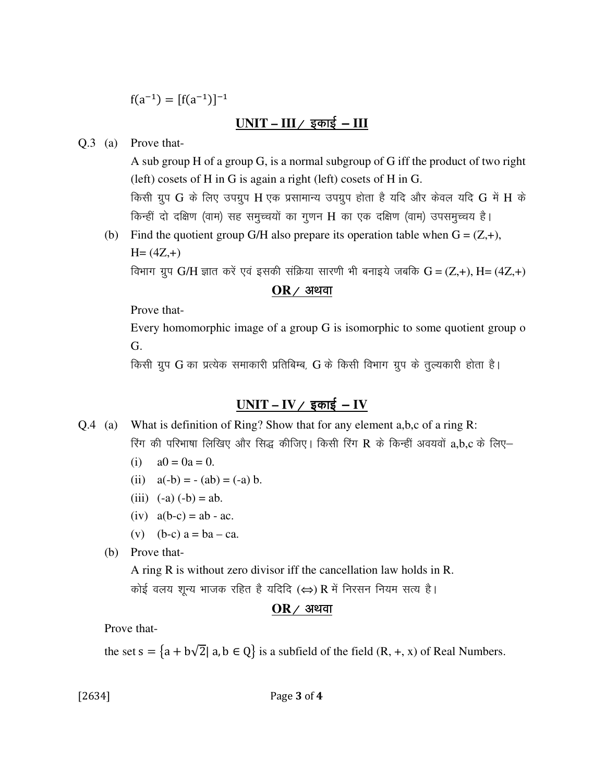$f(a^{-1}) = [f(a^{-1})]^{-1}$ 

### $UNIT - III /$  इकाई -  $III$

Q.3 (a) Prove that-

 A sub group H of a group G, is a normal subgroup of G iff the product of two right (left) cosets of H in G is again a right (left) cosets of H in G. किसी ग्रुप G के लिए उपग्रुप H एक प्रसामान्य उपग्रुप होता है यदि और केवल यदि G में H के किन्हीं दो दक्षिण (वाम) सह समुच्चयों का गुणन H का एक दक्षिण (वाम) उपसमुच्चय है।

(b) Find the quotient group G/H also prepare its operation table when  $G = (Z, +)$ ,  $H = (4Z, +)$ 

विभाग ग्रुप G/H ज्ञात करें एवं इसकी संक्रिया सारणी भी बनाइये जबकि G =  $(Z,+)$ , H= (4Z,+)

#### $OR$  / अथवा

Prove that-

 Every homomorphic image of a group G is isomorphic to some quotient group o G.

किसी ग्रुप G का प्रत्येक समाकारी प्रतिबिम्ब, G के किसी विभाग ग्रुप के तुल्यकारी होता है।

### $UNIT - IV /$  इकाई - IV

- Q.4 (a) What is definition of Ring? Show that for any element a,b,c of a ring R: रिंग की परिभाषा लिखिए और सिद्ध कीजिए। किसी रिंग R के किन्हीं अवयवों a,b,c के लिए–
	- (i)  $a0 = 0a = 0$ .
	- (ii)  $a(-b) = -(ab) = (-a) b$ .
	- (iii)  $(-a) (-b) = ab$ .
	- $(iv)$   $a(b-c) = ab ac$ .
	- (v)  $(b-c)$  a = ba ca.
	- (b) Prove that-

A ring R is without zero divisor iff the cancellation law holds in R.

कोई वलय शुन्य भाजक रहित है यदिदि  $(\Leftrightarrow)$  R में निरसन नियम सत्य है।

### $OR$  / अथवा

Prove that-

the set  $s = \{a + b\sqrt{2} | a, b \in Q\}$  is a subfield of the field  $(R, +, x)$  of Real Numbers.